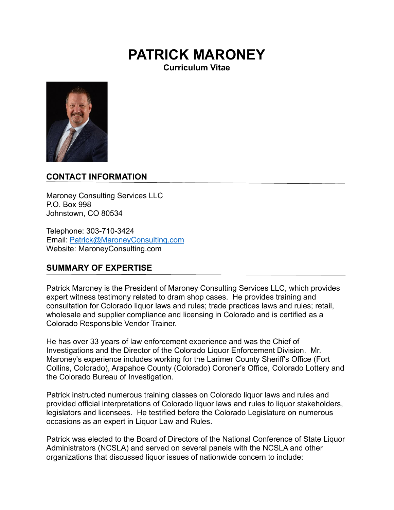# **PATRICK MARONEY**

**Curriculum Vitae**



### **CONTACT INFORMATION**

Maroney Consulting Services LLC P.O. Box 998 Johnstown, CO 80534

Telephone: 303-710-3424 Email: [Patrick@MaroneyConsulting.com](mailto:Patrick@MaroneyConsulting.com) Website: MaroneyConsulting.com

# **SUMMARY OF EXPERTISE**

Patrick Maroney is the President of Maroney Consulting Services LLC, which provides expert witness testimony related to dram shop cases. He provides training and consultation for Colorado liquor laws and rules; trade practices laws and rules; retail, wholesale and supplier compliance and licensing in Colorado and is certified as a Colorado Responsible Vendor Trainer.

He has over 33 years of law enforcement experience and was the Chief of Investigations and the Director of the Colorado Liquor Enforcement Division. Mr. Maroney's experience includes working for the Larimer County Sheriff's Office (Fort Collins, Colorado), Arapahoe County (Colorado) Coroner's Office, Colorado Lottery and the Colorado Bureau of Investigation.

Patrick instructed numerous training classes on Colorado liquor laws and rules and provided official interpretations of Colorado liquor laws and rules to liquor stakeholders, legislators and licensees. He testified before the Colorado Legislature on numerous occasions as an expert in Liquor Law and Rules.

Patrick was elected to the Board of Directors of the National Conference of State Liquor Administrators (NCSLA) and served on several panels with the NCSLA and other organizations that discussed liquor issues of nationwide concern to include: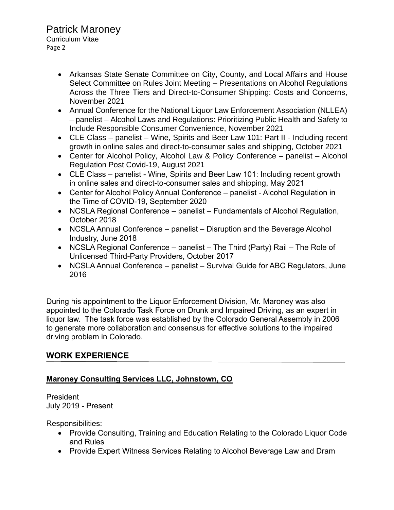Curriculum Vitae Page 2

- Arkansas State Senate Committee on City, County, and Local Affairs and House Select Committee on Rules Joint Meeting – Presentations on Alcohol Regulations Across the Three Tiers and Direct-to-Consumer Shipping: Costs and Concerns, November 2021
- Annual Conference for the National Liquor Law Enforcement Association (NLLEA) – panelist – Alcohol Laws and Regulations: Prioritizing Public Health and Safety to Include Responsible Consumer Convenience, November 2021
- CLE Class panelist Wine, Spirits and Beer Law 101: Part II Including recent growth in online sales and direct-to-consumer sales and shipping, October 2021
- Center for Alcohol Policy, Alcohol Law & Policy Conference panelist Alcohol Regulation Post Covid-19, August 2021
- CLE Class panelist Wine, Spirits and Beer Law 101: Including recent growth in online sales and direct-to-consumer sales and shipping, May 2021
- Center for Alcohol Policy Annual Conference panelist Alcohol Regulation in the Time of COVID-19, September 2020
- NCSLA Regional Conference panelist Fundamentals of Alcohol Regulation, October 2018
- NCSLA Annual Conference panelist Disruption and the Beverage Alcohol Industry, June 2018
- NCSLA Regional Conference panelist The Third (Party) Rail The Role of Unlicensed Third-Party Providers, October 2017
- NCSLA Annual Conference panelist Survival Guide for ABC Regulators, June 2016

During his appointment to the Liquor Enforcement Division, Mr. Maroney was also appointed to the Colorado Task Force on Drunk and Impaired Driving, as an expert in liquor law. The task force was established by the Colorado General Assembly in 2006 to generate more collaboration and consensus for effective solutions to the impaired driving problem in Colorado.

# **WORK EXPERIENCE**

# **Maroney Consulting Services LLC, Johnstown, CO**

President July 2019 - Present

- Provide Consulting, Training and Education Relating to the Colorado Liquor Code and Rules
- Provide Expert Witness Services Relating to Alcohol Beverage Law and Dram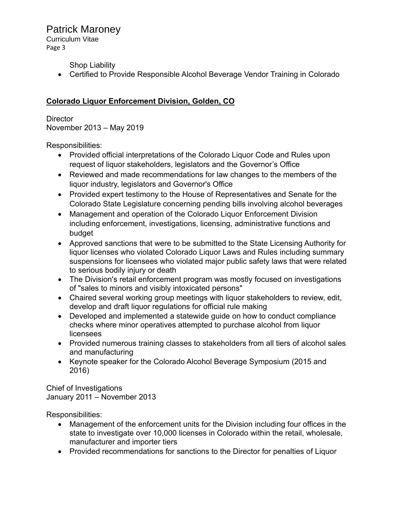Curriculum Vitae Page 3

Shop Liability

• Certified to Provide Responsible Alcohol Beverage Vendor Training in Colorado

# **Colorado Liquor Enforcement Division, Golden, CO**

**Director** November 2013 – May 2019

Responsibilities:

- Provided official interpretations of the Colorado Liquor Code and Rules upon request of liquor stakeholders, legislators and the Governor's Office
- Reviewed and made recommendations for law changes to the members of the liquor industry, legislators and Governor's Office
- Provided expert testimony to the House of Representatives and Senate for the Colorado State Legislature concerning pending bills involving alcohol beverages
- Management and operation of the Colorado Liquor Enforcement Division including enforcement, investigations, licensing, administrative functions and budget
- Approved sanctions that were to be submitted to the State Licensing Authority for liquor licenses who violated Colorado Liquor Laws and Rules including summary suspensions for licensees who violated major public safety laws that were related to serious bodily injury or death
- The Division's retail enforcement program was mostly focused on investigations of "sales to minors and visibly intoxicated persons"
- Chaired several working group meetings with liquor stakeholders to review, edit, develop and draft liquor regulations for official rule making
- Developed and implemented a statewide guide on how to conduct compliance checks where minor operatives attempted to purchase alcohol from liquor licensees
- Provided numerous training classes to stakeholders from all tiers of alcohol sales and manufacturing
- Keynote speaker for the Colorado Alcohol Beverage Symposium (2015 and 2016)

Chief of Investigations January 2011 – November 2013

- Management of the enforcement units for the Division including four offices in the state to investigate over 10,000 licenses in Colorado within the retail, wholesale, manufacturer and importer tiers
- Provided recommendations for sanctions to the Director for penalties of Liquor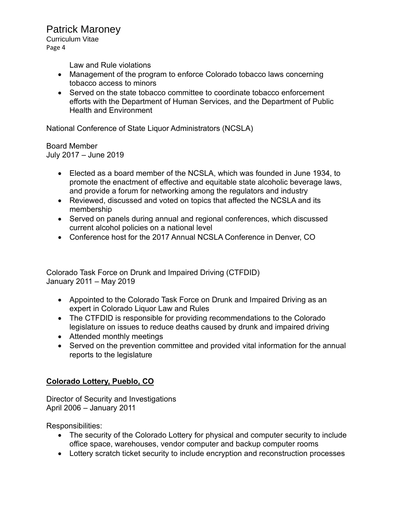Curriculum Vitae Page 4

Law and Rule violations

- Management of the program to enforce Colorado tobacco laws concerning tobacco access to minors
- Served on the state tobacco committee to coordinate tobacco enforcement efforts with the Department of Human Services, and the Department of Public Health and Environment

National Conference of State Liquor Administrators (NCSLA)

Board Member July 2017 – June 2019

- Elected as a board member of the NCSLA, which was founded in June 1934, to promote the enactment of effective and equitable state alcoholic beverage laws, and provide a forum for networking among the regulators and industry
- Reviewed, discussed and voted on topics that affected the NCSLA and its membership
- Served on panels during annual and regional conferences, which discussed current alcohol policies on a national level
- Conference host for the 2017 Annual NCSLA Conference in Denver, CO

Colorado Task Force on Drunk and Impaired Driving (CTFDID) January 2011 – May 2019

- Appointed to the Colorado Task Force on Drunk and Impaired Driving as an expert in Colorado Liquor Law and Rules
- The CTFDID is responsible for providing recommendations to the Colorado legislature on issues to reduce deaths caused by drunk and impaired driving
- Attended monthly meetings
- Served on the prevention committee and provided vital information for the annual reports to the legislature

# **Colorado Lottery, Pueblo, CO**

Director of Security and Investigations April 2006 – January 2011

- The security of the Colorado Lottery for physical and computer security to include office space, warehouses, vendor computer and backup computer rooms
- Lottery scratch ticket security to include encryption and reconstruction processes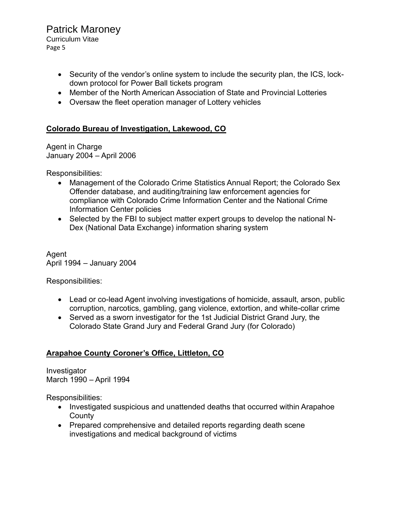Curriculum Vitae Page 5

- Security of the vendor's online system to include the security plan, the ICS, lockdown protocol for Power Ball tickets program
- Member of the North American Association of State and Provincial Lotteries
- Oversaw the fleet operation manager of Lottery vehicles

## **Colorado Bureau of Investigation, Lakewood, CO**

Agent in Charge January 2004 – April 2006

Responsibilities:

- Management of the Colorado Crime Statistics Annual Report; the Colorado Sex Offender database, and auditing/training law enforcement agencies for compliance with Colorado Crime Information Center and the National Crime Information Center policies
- Selected by the FBI to subject matter expert groups to develop the national N-Dex (National Data Exchange) information sharing system

Agent April 1994 – January 2004

Responsibilities:

- Lead or co-lead Agent involving investigations of homicide, assault, arson, public corruption, narcotics, gambling, gang violence, extortion, and white-collar crime
- Served as a sworn investigator for the 1st Judicial District Grand Jury, the Colorado State Grand Jury and Federal Grand Jury (for Colorado)

# **Arapahoe County Coroner's Office, Littleton, CO**

Investigator March 1990 – April 1994

- Investigated suspicious and unattended deaths that occurred within Arapahoe **County**
- Prepared comprehensive and detailed reports regarding death scene investigations and medical background of victims